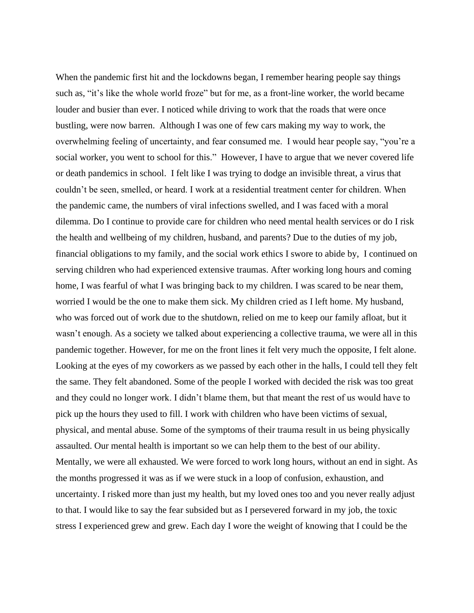When the pandemic first hit and the lockdowns began, I remember hearing people say things such as, "it's like the whole world froze" but for me, as a front-line worker, the world became louder and busier than ever. I noticed while driving to work that the roads that were once bustling, were now barren. Although I was one of few cars making my way to work, the overwhelming feeling of uncertainty, and fear consumed me. I would hear people say, "you're a social worker, you went to school for this." However, I have to argue that we never covered life or death pandemics in school. I felt like I was trying to dodge an invisible threat, a virus that couldn't be seen, smelled, or heard. I work at a residential treatment center for children. When the pandemic came, the numbers of viral infections swelled, and I was faced with a moral dilemma. Do I continue to provide care for children who need mental health services or do I risk the health and wellbeing of my children, husband, and parents? Due to the duties of my job, financial obligations to my family, and the social work ethics I swore to abide by, I continued on serving children who had experienced extensive traumas. After working long hours and coming home, I was fearful of what I was bringing back to my children. I was scared to be near them, worried I would be the one to make them sick. My children cried as I left home. My husband, who was forced out of work due to the shutdown, relied on me to keep our family afloat, but it wasn't enough. As a society we talked about experiencing a collective trauma, we were all in this pandemic together. However, for me on the front lines it felt very much the opposite, I felt alone. Looking at the eyes of my coworkers as we passed by each other in the halls, I could tell they felt the same. They felt abandoned. Some of the people I worked with decided the risk was too great and they could no longer work. I didn't blame them, but that meant the rest of us would have to pick up the hours they used to fill. I work with children who have been victims of sexual, physical, and mental abuse. Some of the symptoms of their trauma result in us being physically assaulted. Our mental health is important so we can help them to the best of our ability. Mentally, we were all exhausted. We were forced to work long hours, without an end in sight. As the months progressed it was as if we were stuck in a loop of confusion, exhaustion, and uncertainty. I risked more than just my health, but my loved ones too and you never really adjust to that. I would like to say the fear subsided but as I persevered forward in my job, the toxic stress I experienced grew and grew. Each day I wore the weight of knowing that I could be the